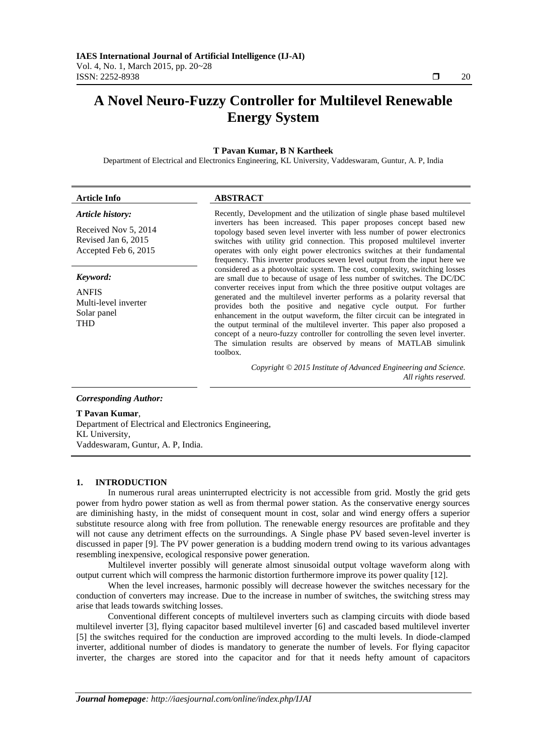# **A Novel Neuro-Fuzzy Controller for Multilevel Renewable Energy System**

#### **T Pavan Kumar, B N Kartheek**

Department of Electrical and Electronics Engineering, KL University, Vaddeswaram, Guntur, A. P, India

| <b>Article Info</b>                                                                     | <b>ABSTRACT</b><br>Recently, Development and the utilization of single phase based multilevel<br>inverters has been increased. This paper proposes concept based new<br>topology based seven level inverter with less number of power electronics<br>switches with utility grid connection. This proposed multilevel inverter<br>operates with only eight power electronics switches at their fundamental<br>frequency. This inverter produces seven level output from the input here we                                                                                                                                                                                                                             |  |  |  |
|-----------------------------------------------------------------------------------------|----------------------------------------------------------------------------------------------------------------------------------------------------------------------------------------------------------------------------------------------------------------------------------------------------------------------------------------------------------------------------------------------------------------------------------------------------------------------------------------------------------------------------------------------------------------------------------------------------------------------------------------------------------------------------------------------------------------------|--|--|--|
| Article history:<br>Received Nov 5, 2014<br>Revised Jan 6, 2015<br>Accepted Feb 6, 2015 |                                                                                                                                                                                                                                                                                                                                                                                                                                                                                                                                                                                                                                                                                                                      |  |  |  |
| Keyword:<br><b>ANFIS</b><br>Multi-level inverter<br>Solar panel<br><b>THD</b>           | considered as a photovoltaic system. The cost, complexity, switching losses<br>are small due to because of usage of less number of switches. The DC/DC<br>converter receives input from which the three positive output voltages are<br>generated and the multilevel inverter performs as a polarity reversal that<br>provides both the positive and negative cycle output. For further<br>enhancement in the output waveform, the filter circuit can be integrated in<br>the output terminal of the multilevel inverter. This paper also proposed a<br>concept of a neuro-fuzzy controller for controlling the seven level inverter.<br>The simulation results are observed by means of MATLAB simulink<br>toolbox. |  |  |  |
| <b>Corresponding Author:</b>                                                            | Copyright © 2015 Institute of Advanced Engineering and Science.<br>All rights reserved.                                                                                                                                                                                                                                                                                                                                                                                                                                                                                                                                                                                                                              |  |  |  |
| T Pavan Kumar.                                                                          |                                                                                                                                                                                                                                                                                                                                                                                                                                                                                                                                                                                                                                                                                                                      |  |  |  |

Department of Electrical and Electronics Engineering, KL University, Vaddeswaram, Guntur, A. P, India.

#### **1. INTRODUCTION**

In numerous rural areas uninterrupted electricity is not accessible from grid. Mostly the grid gets power from hydro power station as well as from thermal power station. As the conservative energy sources are diminishing hasty, in the midst of consequent mount in cost, solar and wind energy offers a superior substitute resource along with free from pollution. The renewable energy resources are profitable and they will not cause any detriment effects on the surroundings. A Single phase PV based seven-level inverter is discussed in paper [9]. The PV power generation is a budding modern trend owing to its various advantages resembling inexpensive, ecological responsive power generation.

Multilevel inverter possibly will generate almost sinusoidal output voltage waveform along with output current which will compress the harmonic distortion furthermore improve its power quality [12].

When the level increases, harmonic possibly will decrease however the switches necessary for the conduction of converters may increase. Due to the increase in number of switches, the switching stress may arise that leads towards switching losses.

Conventional different concepts of multilevel inverters such as clamping circuits with diode based multilevel inverter [3], flying capacitor based multilevel inverter [6] and cascaded based multilevel inverter [5] the switches required for the conduction are improved according to the multi levels. In diode-clamped inverter, additional number of diodes is mandatory to generate the number of levels. For flying capacitor inverter, the charges are stored into the capacitor and for that it needs hefty amount of capacitors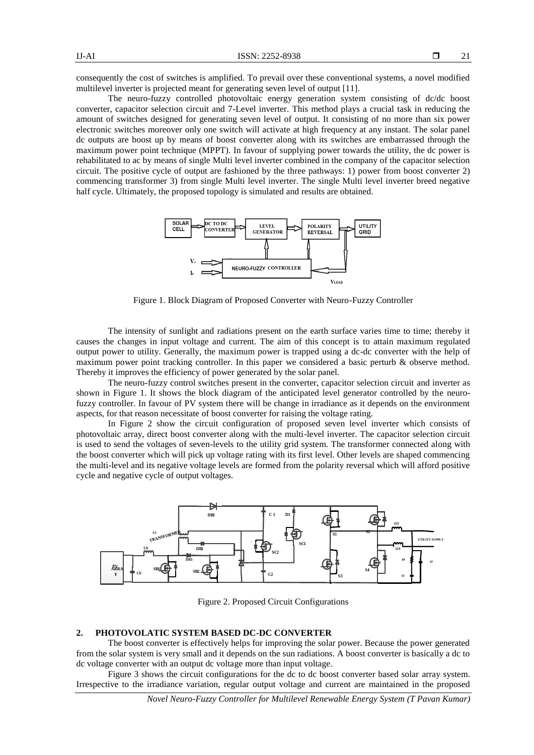consequently the cost of switches is amplified. To prevail over these conventional systems, a novel modified multilevel inverter is projected meant for generating seven level of output [11].

The neuro-fuzzy controlled photovoltaic energy generation system consisting of dc/dc boost converter, capacitor selection circuit and 7-Level inverter. This method plays a crucial task in reducing the amount of switches designed for generating seven level of output. It consisting of no more than six power electronic switches moreover only one switch will activate at high frequency at any instant. The solar panel dc outputs are boost up by means of boost converter along with its switches are embarrassed through the maximum power point technique (MPPT). In favour of supplying power towards the utility, the dc power is rehabilitated to ac by means of single Multi level inverter combined in the company of the capacitor selection circuit. The positive cycle of output are fashioned by the three pathways: 1) power from boost converter 2) commencing transformer 3) from single Multi level inverter. The single Multi level inverter breed negative half cycle. Ultimately, the proposed topology is simulated and results are obtained.



Figure 1. Block Diagram of Proposed Converter with Neuro-Fuzzy Controller

The intensity of sunlight and radiations present on the earth surface varies time to time; thereby it causes the changes in input voltage and current. The aim of this concept is to attain maximum regulated output power to utility. Generally, the maximum power is trapped using a dc-dc converter with the help of maximum power point tracking controller. In this paper we considered a basic perturb & observe method. Thereby it improves the efficiency of power generated by the solar panel.

The neuro-fuzzy control switches present in the converter, capacitor selection circuit and inverter as shown in Figure 1. It shows the block diagram of the anticipated level generator controlled by the neurofuzzy controller. In favour of PV system there will be change in irradiance as it depends on the environment aspects, for that reason necessitate of boost converter for raising the voltage rating.

In Figure 2 show the circuit configuration of proposed seven level inverter which consists of photovoltaic array, direct boost converter along with the multi-level inverter. The capacitor selection circuit is used to send the voltages of seven-levels to the utility grid system. The transformer connected along with the boost converter which will pick up voltage rating with its first level. Other levels are shaped commencing the multi-level and its negative voltage levels are formed from the polarity reversal which will afford positive cycle and negative cycle of output voltages.



Figure 2. Proposed Circuit Configurations

# **2. PHOTOVOLATIC SYSTEM BASED DC-DC CONVERTER**

The boost converter is effectively helps for improving the solar power. Because the power generated from the solar system is very small and it depends on the sun radiations. A boost converter is basically a dc to dc voltage converter with an output dc voltage more than input voltage.

Figure 3 shows the circuit configurations for the dc to dc boost converter based solar array system. Irrespective to the irradiance variation, regular output voltage and current are maintained in the proposed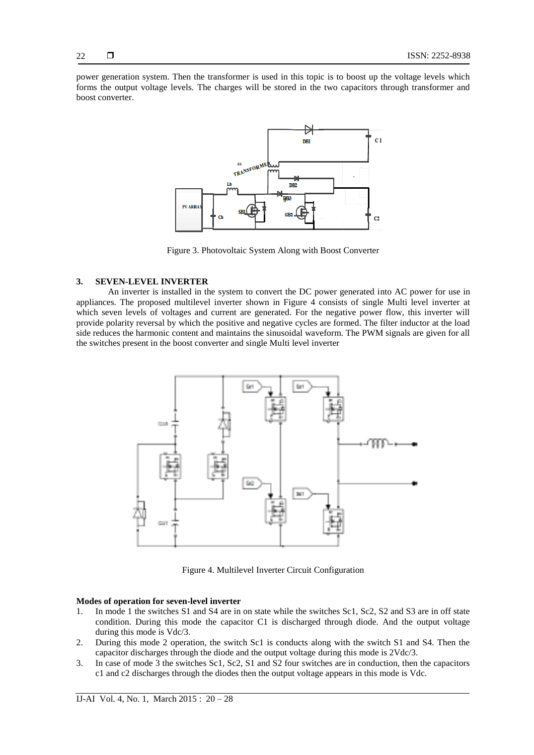power generation system. Then the transformer is used in this topic is to boost up the voltage levels which forms the output voltage levels. The charges will be stored in the two capacitors through transformer and boost converter.



Figure 3. Photovoltaic System Along with Boost Converter

#### **3. SEVEN-LEVEL INVERTER**

An inverter is installed in the system to convert the DC power generated into AC power for use in appliances. The proposed multilevel inverter shown in Figure 4 consists of single Multi level inverter at which seven levels of voltages and current are generated. For the negative power flow, this inverter will provide polarity reversal by which the positive and negative cycles are formed. The filter inductor at the load side reduces the harmonic content and maintains the sinusoidal waveform. The PWM signals are given for all the switches present in the boost converter and single Multi level inverter



Figure 4. Multilevel Inverter Circuit Configuration

#### **Modes of operation for seven-level inverter**

- 1. In mode 1 the switches S1 and S4 are in on state while the switches Sc1, Sc2, S2 and S3 are in off state condition. During this mode the capacitor C1 is discharged through diode. And the output voltage during this mode is Vdc/3.
- 2. During this mode 2 operation, the switch Sc1 is conducts along with the switch S1 and S4. Then the capacitor discharges through the diode and the output voltage during this mode is 2Vdc/3.
- 3. In case of mode 3 the switches Sc1, Sc2, S1 and S2 four switches are in conduction, then the capacitors c1 and c2 discharges through the diodes then the output voltage appears in this mode is Vdc.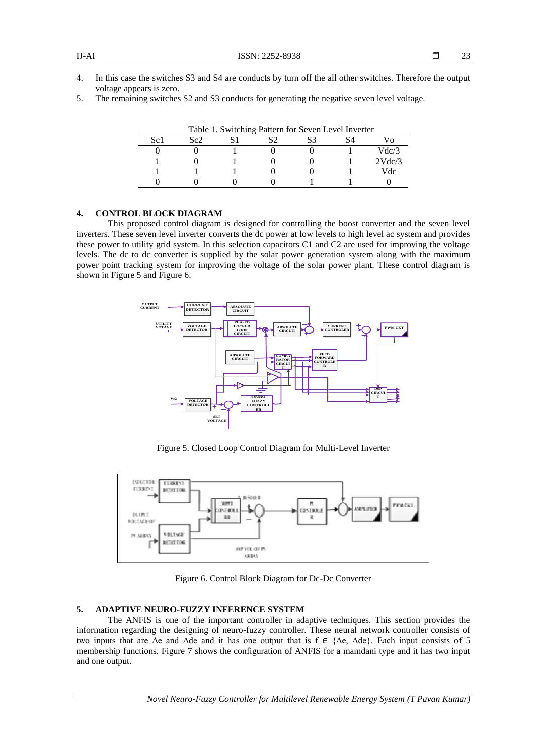- 4. In this case the switches S3 and S4 are conducts by turn off the all other switches. Therefore the output voltage appears is zero.
- 5. The remaining switches S2 and S3 conducts for generating the negative seven level voltage.

| Table 1. Switching Pattern for Seven Level Inverter |     |  |  |  |  |        |  |  |
|-----------------------------------------------------|-----|--|--|--|--|--------|--|--|
| Sc <sub>1</sub>                                     | Sc2 |  |  |  |  |        |  |  |
|                                                     |     |  |  |  |  | Vdc/3  |  |  |
|                                                     |     |  |  |  |  | 2Vdc/3 |  |  |
|                                                     |     |  |  |  |  | Vdc    |  |  |
|                                                     |     |  |  |  |  |        |  |  |

Table 1. Switching Pattern for Seven Level Inverter

## **4. CONTROL BLOCK DIAGRAM**

This proposed control diagram is designed for controlling the boost converter and the seven level inverters. These seven level inverter converts the dc power at low levels to high level ac system and provides these power to utility grid system. In this selection capacitors C1 and C2 are used for improving the voltage levels. The dc to dc converter is supplied by the solar power generation system along with the maximum power point tracking system for improving the voltage of the solar power plant. These control diagram is shown in Figure 5 and Figure 6.



Figure 5. Closed Loop Control Diagram for Multi-Level Inverter



Figure 6. Control Block Diagram for Dc-Dc Converter

#### **5. ADAPTIVE NEURO-FUZZY INFERENCE SYSTEM**

The ANFIS is one of the important controller in adaptive techniques. This section provides the information regarding the designing of neuro-fuzzy controller. These neural network controller consists of two inputs that are  $\Delta e$  and  $\Delta d e$  and it has one output that is  $f \in {\Delta e}$ ,  $\Delta d e$ . Each input consists of 5 membership functions. Figure 7 shows the configuration of ANFIS for a mamdani type and it has two input and one output.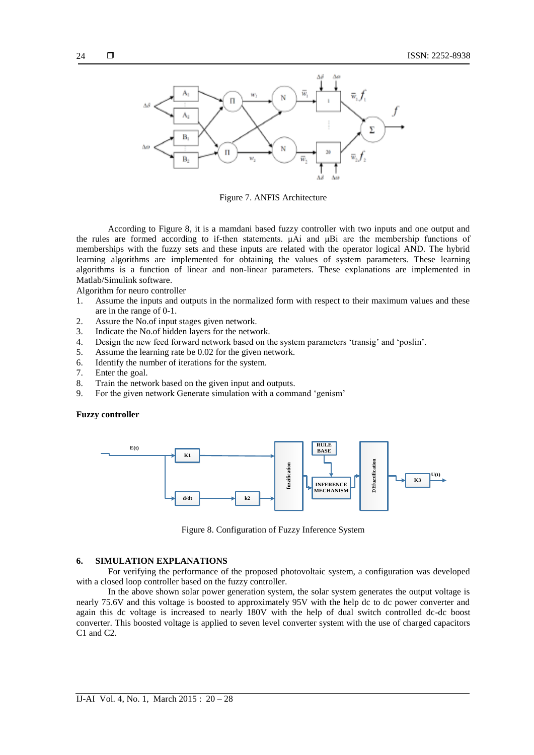

Figure 7. ANFIS Architecture

According to Figure 8, it is a mamdani based fuzzy controller with two inputs and one output and the rules are formed according to if-then statements. μAi and μBi are the membership functions of memberships with the fuzzy sets and these inputs are related with the operator logical AND. The hybrid learning algorithms are implemented for obtaining the values of system parameters. These learning algorithms is a function of linear and non-linear parameters. These explanations are implemented in Matlab/Simulink software.

Algorithm for neuro controller

- 1. Assume the inputs and outputs in the normalized form with respect to their maximum values and these are in the range of 0-1.
- 2. Assure the No.of input stages given network.
- 3. Indicate the No.of hidden layers for the network.
- 4. Design the new feed forward network based on the system parameters 'transig' and 'poslin'.
- 5. Assume the learning rate be 0.02 for the given network.
- 6. Identify the number of iterations for the system.
- 7. Enter the goal.
- 8. Train the network based on the given input and outputs.
- 9. For the given network Generate simulation with a command 'genism'

#### **Fuzzy controller**



Figure 8. Configuration of Fuzzy Inference System

#### **6. SIMULATION EXPLANATIONS**

For verifying the performance of the proposed photovoltaic system, a configuration was developed with a closed loop controller based on the fuzzy controller.

In the above shown solar power generation system, the solar system generates the output voltage is nearly 75.6V and this voltage is boosted to approximately 95V with the help dc to dc power converter and again this dc voltage is increased to nearly 180V with the help of dual switch controlled dc-dc boost converter. This boosted voltage is applied to seven level converter system with the use of charged capacitors C1 and C2.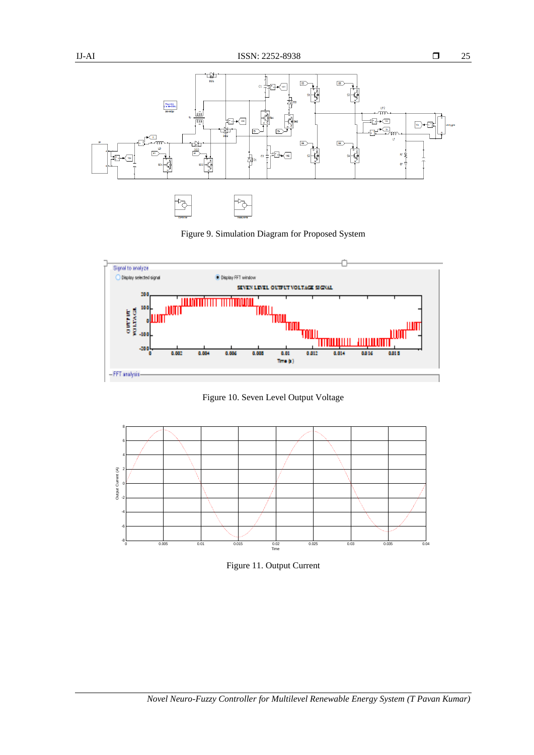

Figure 9. Simulation Diagram for Proposed System



Figure 10. Seven Level Output Voltage



Figure 11. Output Current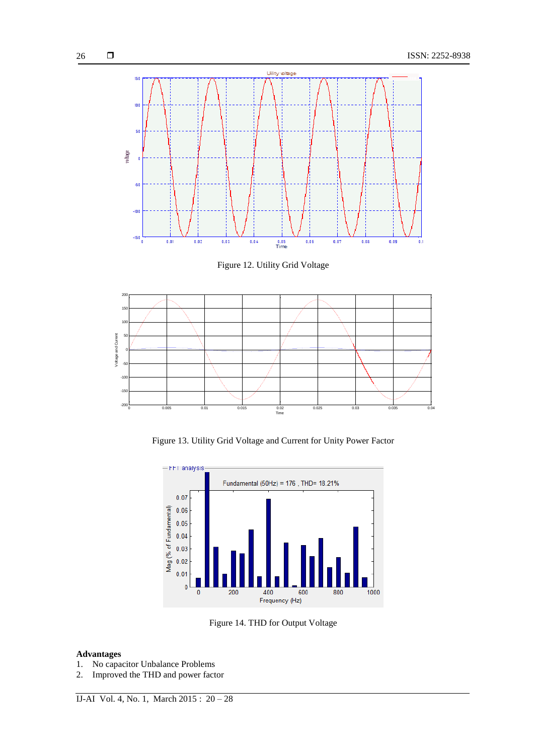

Figure 12. Utility Grid Voltage



Figure 13. Utility Grid Voltage and Current for Unity Power Factor



Figure 14. THD for Output Voltage

### **Advantages**

- 1. No capacitor Unbalance Problems
- 2. Improved the THD and power factor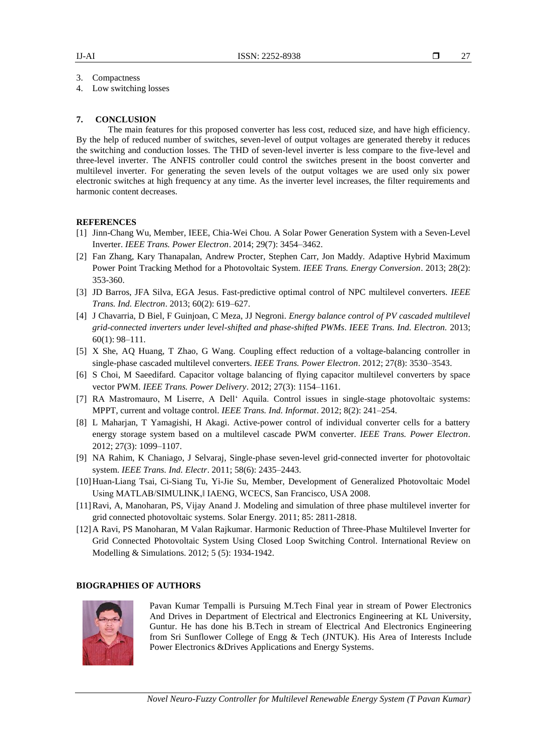27

3. Compactness

4. Low switching losses

#### **7. CONCLUSION**

The main features for this proposed converter has less cost, reduced size, and have high efficiency. By the help of reduced number of switches, seven-level of output voltages are generated thereby it reduces the switching and conduction losses. The THD of seven-level inverter is less compare to the five-level and three-level inverter. The ANFIS controller could control the switches present in the boost converter and multilevel inverter. For generating the seven levels of the output voltages we are used only six power electronic switches at high frequency at any time. As the inverter level increases, the filter requirements and harmonic content decreases.

#### **REFERENCES**

- [1] Jinn-Chang Wu, Member, IEEE, Chia-Wei Chou. A Solar Power Generation System with a Seven-Level Inverter. *IEEE Trans. Power Electron*. 2014; 29(7): 3454–3462.
- [2] Fan Zhang, Kary Thanapalan, Andrew Procter, Stephen Carr, Jon Maddy. Adaptive Hybrid Maximum Power Point Tracking Method for a Photovoltaic System. *IEEE Trans. Energy Conversion*. 2013; 28(2): 353-360.
- [3] JD Barros, JFA Silva, EGA Jesus. Fast-predictive optimal control of NPC multilevel converters. *IEEE Trans. Ind. Electron*. 2013; 60(2): 619–627.
- [4] J Chavarria, D Biel, F Guinjoan, C Meza, JJ Negroni. *Energy balance control of PV cascaded multilevel grid-connected inverters under level-shifted and phase-shifted PWMs*. *IEEE Trans. Ind. Electron.* 2013; 60(1): 98–111.
- [5] X She, AQ Huang, T Zhao, G Wang. Coupling effect reduction of a voltage-balancing controller in single-phase cascaded multilevel converters. *IEEE Trans. Power Electron*. 2012; 27(8): 3530–3543.
- [6] S Choi, M Saeedifard. Capacitor voltage balancing of flying capacitor multilevel converters by space vector PWM. *IEEE Trans. Power Delivery*. 2012; 27(3): 1154–1161.
- [7] RA Mastromauro, M Liserre, A Dell' Aquila. Control issues in single-stage photovoltaic systems: MPPT, current and voltage control. *IEEE Trans. Ind. Informat*. 2012; 8(2): 241–254.
- [8] L Maharjan, T Yamagishi, H Akagi. Active-power control of individual converter cells for a battery energy storage system based on a multilevel cascade PWM converter. *IEEE Trans. Power Electron*. 2012; 27(3): 1099–1107.
- [9] NA Rahim, K Chaniago, J Selvaraj, Single-phase seven-level grid-connected inverter for photovoltaic system. *IEEE Trans. Ind. Electr*. 2011; 58(6): 2435–2443.
- [10]Huan-Liang Tsai, Ci-Siang Tu, Yi-Jie Su, Member, Development of Generalized Photovoltaic Model Using MATLAB/SIMULINK,‖ IAENG, WCECS, San Francisco, USA 2008.
- [11]Ravi, A, Manoharan, PS, Vijay Anand J. Modeling and simulation of three phase multilevel inverter for grid connected photovoltaic systems. Solar Energy. 2011; 85: 2811-2818.
- [12]A Ravi, PS Manoharan, M Valan Rajkumar. Harmonic Reduction of Three-Phase Multilevel Inverter for Grid Connected Photovoltaic System Using Closed Loop Switching Control. International Review on Modelling & Simulations. 2012; 5 (5): 1934-1942.

# **BIOGRAPHIES OF AUTHORS**



Pavan Kumar Tempalli is Pursuing M.Tech Final year in stream of Power Electronics And Drives in Department of Electrical and Electronics Engineering at KL University, Guntur. He has done his B.Tech in stream of Electrical And Electronics Engineering from Sri Sunflower College of Engg & Tech (JNTUK). His Area of Interests Include Power Electronics &Drives Applications and Energy Systems.